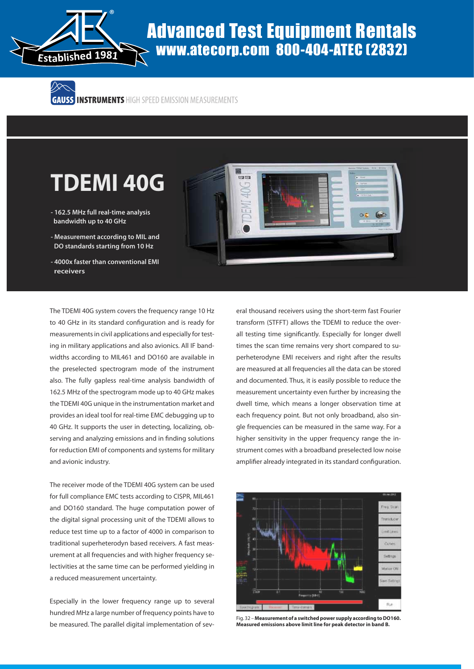

# www.atecorp.com 800-404-ATEC (2832)

ハメー

## **TDEMI 40G**

- **162.5 MHz full real-time analysis bandwidth up to 40 GHz**
- **Measurement according to MIL and DO standards starting from 10 Hz**
- **4000x faster than conventional EMI receivers**

The TDEMI 40G system covers the frequency range 10 Hz to 40 GHz in its standard configuration and is ready for measurements in civil applications and especially for testing in military applications and also avionics. All IF bandwidths according to MIL461 and DO160 are available in the preselected spectrogram mode of the instrument also. The fully gapless real-time analysis bandwidth of 162.5 MHz of the spectrogram mode up to 40 GHz makes the TDEMI 40G unique in the instrumentation market and provides an ideal tool for real-time EMC debugging up to 40 GHz. It supports the user in detecting, localizing, observing and analyzing emissions and in finding solutions for reduction EMI of components and systems for military and avionic industry.

The receiver mode of the TDEMI 40G system can be used for full compliance EMC tests according to CISPR, MIL461 and DO160 standard. The huge computation power of the digital signal processing unit of the TDEMI allows to reduce test time up to a factor of 4000 in comparison to traditional superheterodyn based receivers. A fast measurement at all frequencies and with higher frequency selectivities at the same time can be performed yielding in a reduced measurement uncertainty.

Especially in the lower frequency range up to several hundred MHz a large number of frequency points have to be measured. The parallel digital implementation of sev-



eral thousand receivers using the short-term fast Fourier transform (STFFT) allows the TDEMI to reduce the overall testing time significantly. Especially for longer dwell times the scan time remains very short compared to superheterodyne EMI receivers and right after the results are measured at all frequencies all the data can be stored and documented. Thus, it is easily possible to reduce the measurement uncertainty even further by increasing the dwell time, which means a longer observation time at each frequency point. But not only broadband, also single frequencies can be measured in the same way. For a higher sensitivity in the upper frequency range the instrument comes with a broadband preselected low noise amplifier already integrated in its standard configuration.



Fig. 32 – **Measurement of a switched power supply according to DO160.**